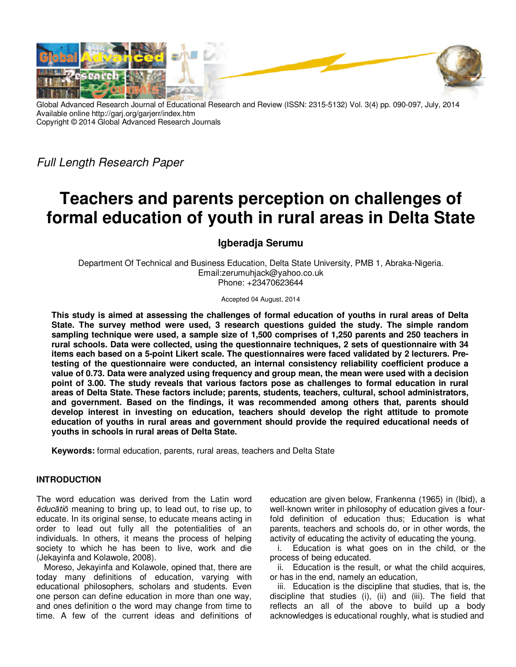

Global Advanced Research Journal of Educational Research and Review (ISSN: 2315-5132) Vol. 3(4) pp. 090-097, July, 2014 Available online http://garj.org/garjerr/index.htm Copyright © 2014 Global Advanced Research Journals

*Full Length Research Paper* 

# **Teachers and parents perception on challenges of formal education of youth in rural areas in Delta State**

## **Igberadja Serumu**

Department Of Technical and Business Education, Delta State University, PMB 1, Abraka-Nigeria. Email:zerumuhjack@yahoo.co.uk Phone: +23470623644

Accepted 04 August, 2014

**This study is aimed at assessing the challenges of formal education of youths in rural areas of Delta State. The survey method were used, 3 research questions guided the study. The simple random sampling technique were used, a sample size of 1,500 comprises of 1,250 parents and 250 teachers in rural schools. Data were collected, using the questionnaire techniques, 2 sets of questionnaire with 34 items each based on a 5-point Likert scale. The questionnaires were faced validated by 2 lecturers. Pretesting of the questionnaire were conducted, an internal consistency reliability coefficient produce a value of 0.73. Data were analyzed using frequency and group mean, the mean were used with a decision point of 3.00. The study reveals that various factors pose as challenges to formal education in rural areas of Delta State. These factors include; parents, students, teachers, cultural, school administrators, and government. Based on the findings, it was recommended among others that, parents should develop interest in investing on education, teachers should develop the right attitude to promote education of youths in rural areas and government should provide the required educational needs of youths in schools in rural areas of Delta State.** 

**Keywords:** formal education, parents, rural areas, teachers and Delta State

## **INTRODUCTION**

The word education was derived from the Latin word *ēducātiō* meaning to bring up, to lead out, to rise up, to educate. In its original sense, to educate means acting in order to lead out fully all the potentialities of an individuals. In others, it means the process of helping society to which he has been to live, work and die (Jekayinfa and Kolawole, 2008).

Moreso, Jekayinfa and Kolawole, opined that, there are today many definitions of education, varying with educational philosophers, scholars and students. Even one person can define education in more than one way, and ones definition o the word may change from time to time. A few of the current ideas and definitions of

education are given below, Frankenna (1965) in (Ibid), a well-known writer in philosophy of education gives a fourfold definition of education thus; Education is what parents, teachers and schools do, or in other words, the activity of educating the activity of educating the young.

i. Education is what goes on in the child, or the process of being educated.

ii. Education is the result, or what the child acquires, or has in the end, namely an education,

iii. Education is the discipline that studies, that is, the discipline that studies (i), (ii) and (iii). The field that reflects an all of the above to build up a body acknowledges is educational roughly, what is studied and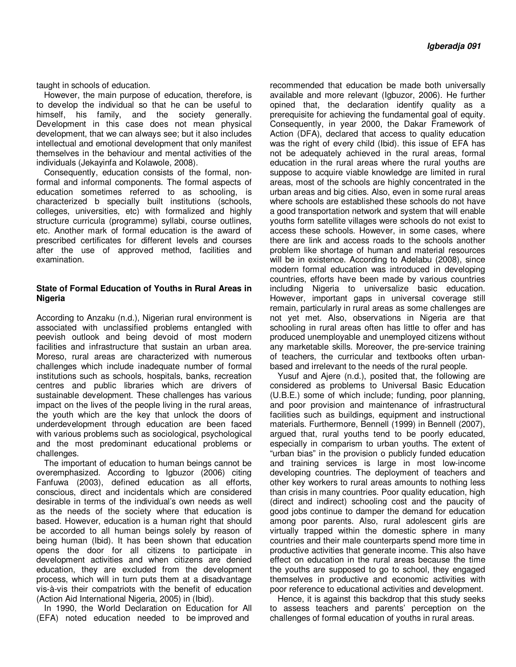taught in schools of education.

However, the main purpose of education, therefore, is to develop the individual so that he can be useful to himself, his family, and the society generally. Development in this case does not mean physical development, that we can always see; but it also includes intellectual and emotional development that only manifest themselves in the behaviour and mental activities of the individuals (Jekayinfa and Kolawole, 2008).

Consequently, education consists of the formal, nonformal and informal components. The formal aspects of education sometimes referred to as schooling, is characterized b specially built institutions (schools, colleges, universities, etc) with formalized and highly structure curricula (programme) syllabi, course outlines, etc. Another mark of formal education is the award of prescribed certificates for different levels and courses after the use of approved method, facilities and examination.

## **State of Formal Education of Youths in Rural Areas in Nigeria**

According to Anzaku (n.d.), Nigerian rural environment is associated with unclassified problems entangled with peevish outlook and being devoid of most modern facilities and infrastructure that sustain an urban area. Moreso, rural areas are characterized with numerous challenges which include inadequate number of formal institutions such as schools, hospitals, banks, recreation centres and public libraries which are drivers of sustainable development. These challenges has various impact on the lives of the people living in the rural areas, the youth which are the key that unlock the doors of underdevelopment through education are been faced with various problems such as sociological, psychological and the most predominant educational problems or challenges.

The important of education to human beings cannot be overemphasized. According to Igbuzor (2006) citing Fanfuwa (2003), defined education as all efforts, conscious, direct and incidentals which are considered desirable in terms of the individual's own needs as well as the needs of the society where that education is based. However, education is a human right that should be accorded to all human beings solely by reason of being human (Ibid). It has been shown that education opens the door for all citizens to participate in development activities and when citizens are denied education, they are excluded from the development process, which will in turn puts them at a disadvantage vis-à-vis their compatriots with the benefit of education (Action Aid International Nigeria, 2005) in (Ibid).

In 1990, the World Declaration on Education for All (EFA) noted education needed to be improved and

recommended that education be made both universally available and more relevant (Igbuzor, 2006). He further opined that, the declaration identify quality as a prerequisite for achieving the fundamental goal of equity. Consequently, in year 2000, the Dakar Framework of Action (DFA), declared that access to quality education was the right of every child (Ibid). this issue of EFA has not be adequately achieved in the rural areas, formal education in the rural areas where the rural youths are suppose to acquire viable knowledge are limited in rural areas, most of the schools are highly concentrated in the urban areas and big cities. Also, even in some rural areas where schools are established these schools do not have a good transportation network and system that will enable youths form satellite villages were schools do not exist to access these schools. However, in some cases, where there are link and access roads to the schools another problem like shortage of human and material resources will be in existence. According to Adelabu (2008), since modern formal education was introduced in developing countries, efforts have been made by various countries including Nigeria to universalize basic education. However, important gaps in universal coverage still remain, particularly in rural areas as some challenges are not yet met. Also, observations in Nigeria are that schooling in rural areas often has little to offer and has produced unemployable and unemployed citizens without any marketable skills. Moreover, the pre-service training of teachers, the curricular and textbooks often urbanbased and irrelevant to the needs of the rural people.

Yusuf and Ajere (n.d.), posited that, the following are considered as problems to Universal Basic Education (U.B.E.) some of which include; funding, poor planning, and poor provision and maintenance of infrastructural facilities such as buildings, equipment and instructional materials. Furthermore, Bennell (1999) in Bennell (2007), argued that, rural youths tend to be poorly educated, especially in comparism to urban youths. The extent of "urban bias" in the provision o publicly funded education and training services is large in most low-income developing countries. The deployment of teachers and other key workers to rural areas amounts to nothing less than crisis in many countries. Poor quality education, high (direct and indirect) schooling cost and the paucity of good jobs continue to damper the demand for education among poor parents. Also, rural adolescent girls are virtually trapped within the domestic sphere in many countries and their male counterparts spend more time in productive activities that generate income. This also have effect on education in the rural areas because the time the youths are supposed to go to school, they engaged themselves in productive and economic activities with poor reference to educational activities and development.

Hence, it is against this backdrop that this study seeks to assess teachers and parents' perception on the challenges of formal education of youths in rural areas.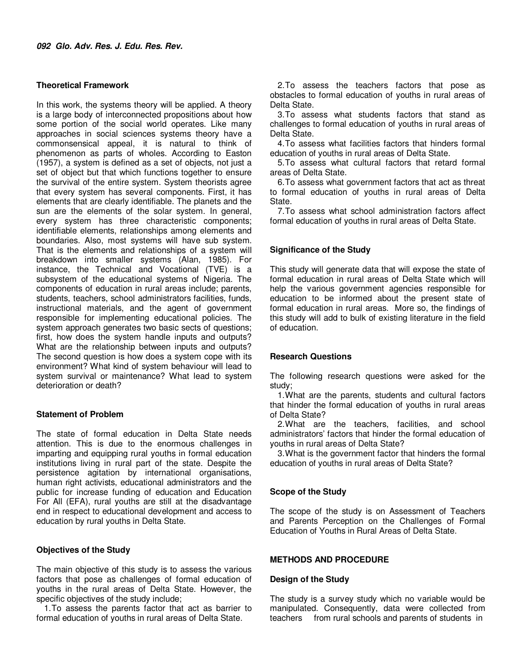## **Theoretical Framework**

In this work, the systems theory will be applied. A theory is a large body of interconnected propositions about how some portion of the social world operates. Like many approaches in social sciences systems theory have a commonsensical appeal, it is natural to think of phenomenon as parts of wholes. According to Easton (1957), a system is defined as a set of objects, not just a set of object but that which functions together to ensure the survival of the entire system. System theorists agree that every system has several components. First, it has elements that are clearly identifiable. The planets and the sun are the elements of the solar system. In general, every system has three characteristic components; identifiable elements, relationships among elements and boundaries. Also, most systems will have sub system. That is the elements and relationships of a system will breakdown into smaller systems (Alan, 1985). For instance, the Technical and Vocational (TVE) is a subsystem of the educational systems of Nigeria. The components of education in rural areas include; parents, students, teachers, school administrators facilities, funds, instructional materials, and the agent of government responsible for implementing educational policies. The system approach generates two basic sects of questions; first, how does the system handle inputs and outputs? What are the relationship between inputs and outputs? The second question is how does a system cope with its environment? What kind of system behaviour will lead to system survival or maintenance? What lead to system deterioration or death?

## **Statement of Problem**

The state of formal education in Delta State needs attention. This is due to the enormous challenges in imparting and equipping rural youths in formal education institutions living in rural part of the state. Despite the persistence agitation by international organisations, human right activists, educational administrators and the public for increase funding of education and Education For All (EFA), rural youths are still at the disadvantage end in respect to educational development and access to education by rural youths in Delta State.

## **Objectives of the Study**

The main objective of this study is to assess the various factors that pose as challenges of formal education of youths in the rural areas of Delta State. However, the specific objectives of the study include;

1. To assess the parents factor that act as barrier to formal education of youths in rural areas of Delta State.

2. To assess the teachers factors that pose as obstacles to formal education of youths in rural areas of Delta State.

3. To assess what students factors that stand as challenges to formal education of youths in rural areas of Delta State.

4. To assess what facilities factors that hinders formal education of youths in rural areas of Delta State.

5. To assess what cultural factors that retard formal areas of Delta State.

6. To assess what government factors that act as threat to formal education of youths in rural areas of Delta State.

7. To assess what school administration factors affect formal education of youths in rural areas of Delta State.

## **Significance of the Study**

This study will generate data that will expose the state of formal education in rural areas of Delta State which will help the various government agencies responsible for education to be informed about the present state of formal education in rural areas. More so, the findings of this study will add to bulk of existing literature in the field of education.

## **Research Questions**

The following research questions were asked for the study;

1. What are the parents, students and cultural factors that hinder the formal education of youths in rural areas of Delta State?

2. What are the teachers, facilities, and school administrators' factors that hinder the formal education of youths in rural areas of Delta State?

3. What is the government factor that hinders the formal education of youths in rural areas of Delta State?

## **Scope of the Study**

The scope of the study is on Assessment of Teachers and Parents Perception on the Challenges of Formal Education of Youths in Rural Areas of Delta State.

## **METHODS AND PROCEDURE**

## **Design of the Study**

The study is a survey study which no variable would be manipulated. Consequently, data were collected from teachers from rural schools and parents of students in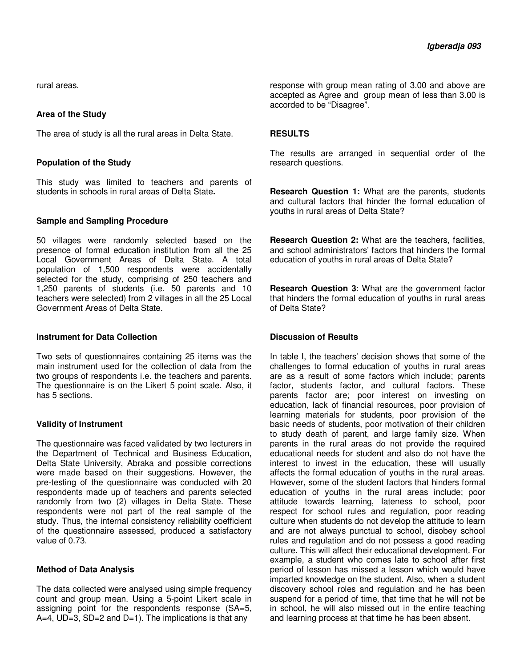rural areas.

## **Area of the Study**

The area of study is all the rural areas in Delta State.

## **Population of the Study**

This study was limited to teachers and parents of students in schools in rural areas of Delta State**.** 

## **Sample and Sampling Procedure**

50 villages were randomly selected based on the presence of formal education institution from all the 25 Local Government Areas of Delta State. A total population of 1,500 respondents were accidentally selected for the study, comprising of 250 teachers and 1,250 parents of students (i.e. 50 parents and 10 teachers were selected) from 2 villages in all the 25 Local Government Areas of Delta State.

#### **Instrument for Data Collection**

Two sets of questionnaires containing 25 items was the main instrument used for the collection of data from the two groups of respondents i.e. the teachers and parents. The questionnaire is on the Likert 5 point scale. Also, it has 5 sections.

## **Validity of Instrument**

The questionnaire was faced validated by two lecturers in the Department of Technical and Business Education, Delta State University, Abraka and possible corrections were made based on their suggestions. However, the pre-testing of the questionnaire was conducted with 20 respondents made up of teachers and parents selected randomly from two (2) villages in Delta State. These respondents were not part of the real sample of the study. Thus, the internal consistency reliability coefficient of the questionnaire assessed, produced a satisfactory value of 0.73.

## **Method of Data Analysis**

The data collected were analysed using simple frequency count and group mean. Using a 5-point Likert scale in assigning point for the respondents response (SA=5,  $A=4$ , UD=3, SD=2 and D=1). The implications is that any

response with group mean rating of 3.00 and above are accepted as Agree and group mean of less than 3.00 is accorded to be "Disagree".

## **RESULTS**

The results are arranged in sequential order of the research questions.

**Research Question 1:** What are the parents, students and cultural factors that hinder the formal education of youths in rural areas of Delta State?

**Research Question 2:** What are the teachers, facilities, and school administrators' factors that hinders the formal education of youths in rural areas of Delta State?

**Research Question 3**: What are the government factor that hinders the formal education of youths in rural areas of Delta State?

## **Discussion of Results**

In table I, the teachers' decision shows that some of the challenges to formal education of youths in rural areas are as a result of some factors which include; parents factor, students factor, and cultural factors. These parents factor are; poor interest on investing on education, lack of financial resources, poor provision of learning materials for students, poor provision of the basic needs of students, poor motivation of their children to study death of parent, and large family size. When parents in the rural areas do not provide the required educational needs for student and also do not have the interest to invest in the education, these will usually affects the formal education of youths in the rural areas. However, some of the student factors that hinders formal education of youths in the rural areas include; poor attitude towards learning, lateness to school, poor respect for school rules and regulation, poor reading culture when students do not develop the attitude to learn and are not always punctual to school, disobey school rules and regulation and do not possess a good reading culture. This will affect their educational development. For example, a student who comes late to school after first period of lesson has missed a lesson which would have imparted knowledge on the student. Also, when a student discovery school roles and regulation and he has been suspend for a period of time, that time that he will not be in school, he will also missed out in the entire teaching and learning process at that time he has been absent.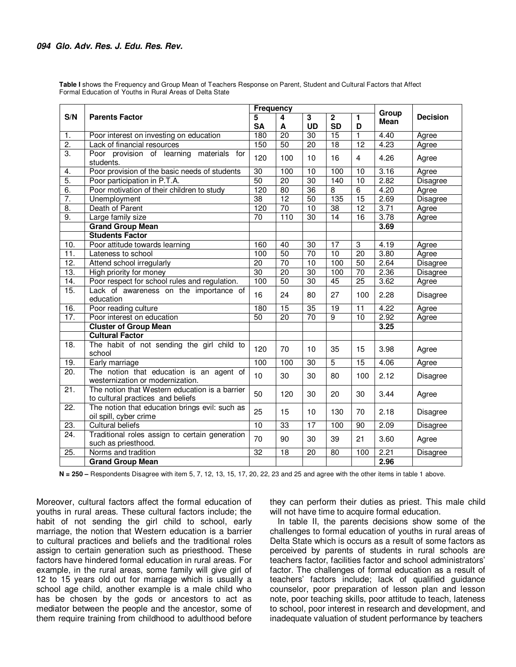**Table I** shows the Frequency and Group Mean of Teachers Response on Parent, Student and Cultural Factors that Affect Formal Education of Youths in Rural Areas of Delta State

|                   | <b>Parents Factor</b>                                                               | <b>Frequency</b> |                 |                 |                          |                 |               |                 |
|-------------------|-------------------------------------------------------------------------------------|------------------|-----------------|-----------------|--------------------------|-----------------|---------------|-----------------|
| S/N               |                                                                                     | 5<br><b>SA</b>   | 4<br>A          | 3<br><b>UD</b>  | $\mathbf 2$<br><b>SD</b> | 1<br>D          | Group<br>Mean | <b>Decision</b> |
| 1.                | Poor interest on investing on education                                             | 180              | $\overline{20}$ | 30              | $\overline{15}$          | $\mathbf{1}$    | 4.40          | Agree           |
| $\overline{2}$ .  | Lack of financial resources                                                         | 150              | 50              | $\overline{20}$ | 18                       | $\overline{12}$ | 4.23          | Agree           |
| $\overline{3}$ .  | Poor provision of learning<br>materials for<br>students.                            | 120              | 100             | 10              | 16                       | $\overline{4}$  | 4.26          | Agree           |
| 4.                | Poor provision of the basic needs of students                                       | $\overline{30}$  | 100             | 10              | 100                      | 10              | 3.16          | Agree           |
| 5.                | Poor participation in P.T.A.                                                        | 50               | $\overline{20}$ | 30              | 140                      | 10              | 2.82          | <b>Disagree</b> |
| 6.                | Poor motivation of their children to study                                          | 120              | 80              | $\overline{36}$ | $\overline{8}$           | $\overline{6}$  | 4.20          | Agree           |
| 7.                | Unemployment                                                                        | $\overline{38}$  | $\overline{12}$ | $\overline{50}$ | $\overline{135}$         | $\overline{15}$ | 2.69          | <b>Disagree</b> |
| $\overline{8}$ .  | Death of Parent                                                                     | 120              | 70              | 10              | $\overline{38}$          | $\overline{12}$ | 3.71          | Agree           |
| 9.                | Large family size                                                                   | 70               | 110             | $\overline{30}$ | $\overline{14}$          | $\overline{16}$ | 3.78          | Agree           |
|                   | <b>Grand Group Mean</b>                                                             |                  |                 |                 |                          |                 | 3.69          |                 |
|                   | <b>Students Factor</b>                                                              |                  |                 |                 |                          |                 |               |                 |
| 10.               | Poor attitude towards learning                                                      | 160              | 40              | $\overline{30}$ | 17                       | 3               | 4.19          | Agree           |
| 11.               | Lateness to school                                                                  | 100              | 50              | $\overline{70}$ | 10                       | $\overline{20}$ | 3.80          | Agree           |
| 12.               | Attend school irregularly                                                           | $\overline{20}$  | $\overline{70}$ | $\overline{10}$ | 100                      | 50              | 2.64          | Disagree        |
| 13.               | High priority for money                                                             | 30               | $\overline{20}$ | 30              | 100                      | 70              | 2.36          | <b>Disagree</b> |
| $\overline{14}$ . | Poor respect for school rules and regulation.                                       | 100              | 50              | $\overline{30}$ | 45                       | $\overline{25}$ | 3.62          | Agree           |
| 15.               | Lack of awareness on the importance of<br>education                                 | 16               | 24              | 80              | 27                       | 100             | 2.28          | Disagree        |
| 16.               | Poor reading culture                                                                | 180              | $\overline{15}$ | 35              | 19                       | 11              | 4.22          | Agree           |
| 17.               | Poor interest on education                                                          | 50               | 20              | $\overline{70}$ | $\overline{9}$           | 10              | 2.92          | Agree           |
|                   | <b>Cluster of Group Mean</b>                                                        |                  |                 |                 |                          |                 | 3.25          |                 |
|                   | <b>Cultural Factor</b>                                                              |                  |                 |                 |                          |                 |               |                 |
| 18.               | The habit of not sending the girl child to<br>school                                | 120              | 70              | 10              | 35                       | 15              | 3.98          | Agree           |
| 19.               | Early marriage                                                                      | 100              | 100             | 30              | $\overline{5}$           | 15              | 4.06          | Agree           |
| 20.               | The notion that education is an agent of<br>westernization or modernization.        | 10               | 30              | 30              | 80                       | 100             | 2.12          | Disagree        |
| 21.               | The notion that Western education is a barrier<br>to cultural practices and beliefs | 50               | 120             | 30              | 20                       | 30              | 3.44          | Agree           |
| $\overline{22}$ . | The notion that education brings evil: such as<br>oil spill, cyber crime            | 25               | 15              | 10              | 130                      | 70              | 2.18          | Disagree        |
| 23.               | <b>Cultural beliefs</b>                                                             | 10               | 33              | $\overline{17}$ | 100                      | 90              | 2.09          | Disagree        |
| 24.               | Traditional roles assign to certain generation<br>such as priesthood.               | 70               | 90              | 30              | 39                       | 21              | 3.60          | Agree           |
| 25.               | Norms and tradition                                                                 | 32               | 18              | 20              | 80                       | 100             | 2.21          | Disagree        |
|                   | <b>Grand Group Mean</b>                                                             |                  |                 |                 |                          |                 | 2.96          |                 |

**N = 250 –** Respondents Disagree with item 5, 7, 12, 13, 15, 17, 20, 22, 23 and 25 and agree with the other items in table 1 above.

Moreover, cultural factors affect the formal education of youths in rural areas. These cultural factors include; the habit of not sending the girl child to school, early marriage, the notion that Western education is a barrier to cultural practices and beliefs and the traditional roles assign to certain generation such as priesthood. These factors have hindered formal education in rural areas. For example, in the rural areas, some family will give girl of 12 to 15 years old out for marriage which is usually a school age child, another example is a male child who has be chosen by the gods or ancestors to act as mediator between the people and the ancestor, some of them require training from childhood to adulthood before

they can perform their duties as priest. This male child will not have time to acquire formal education.

In table II, the parents decisions show some of the challenges to formal education of youths in rural areas of Delta State which is occurs as a result of some factors as perceived by parents of students in rural schools are teachers factor, facilities factor and school administrators' factor. The challenges of formal education as a result of teachers' factors include; lack of qualified guidance counselor, poor preparation of lesson plan and lesson note, poor teaching skills, poor attitude to teach, lateness to school, poor interest in research and development, and inadequate valuation of student performance by teachers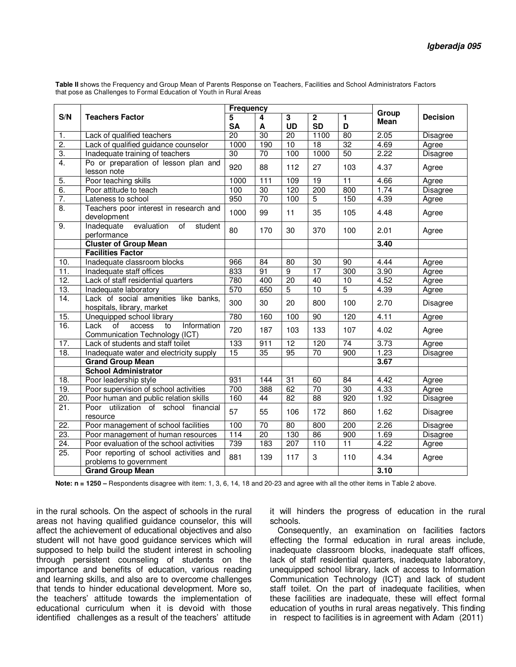**Table II** shows the Frequency and Group Mean of Parents Response on Teachers, Facilities and School Administrators Factors that pose as Challenges to Formal Education of Youth in Rural Areas

|                   | <b>Teachers Factor</b>                                                                   | <b>Frequency</b> |                 |                 |                             |                  |                      |                 |
|-------------------|------------------------------------------------------------------------------------------|------------------|-----------------|-----------------|-----------------------------|------------------|----------------------|-----------------|
| S/N               |                                                                                          | 5<br><b>SA</b>   | 4<br>A          | 3<br><b>UD</b>  | $\overline{2}$<br><b>SD</b> | 1<br>D           | Group<br><b>Mean</b> | <b>Decision</b> |
| 1.                | Lack of qualified teachers                                                               | $\overline{20}$  | $\overline{30}$ | $\overline{20}$ | 1100                        | 80               | 2.05                 | <b>Disagree</b> |
| $\overline{2}$ .  | Lack of qualified guidance counselor                                                     | 1000             | 190             | 10              | $\overline{18}$             | 32               | 4.69                 | Agree           |
| $\overline{3}$ .  | Inadequate training of teachers                                                          | 30               | 70              | 100             | 1000                        | 50               | 2.22                 | <b>Disagree</b> |
| 4.                | Po or preparation of lesson plan and<br>lesson note                                      | 920              | 88              | 112             | 27                          | 103              | 4.37                 | Agree           |
| $\overline{5}$ .  | Poor teaching skills                                                                     | 1000             | 111             | 109             | 19                          | $\overline{11}$  | 4.66                 | Agree           |
| 6.                | Poor attitude to teach                                                                   | 100              | 30              | 120             | 200                         | 800              | 1.74                 | Disagree        |
| $\overline{7}$ .  | Lateness to school                                                                       | 950              | 70              | 100             | $\overline{5}$              | 150              | 4.39                 | Agree           |
| $\overline{8}$ .  | Teachers poor interest in research and<br>development                                    | 1000             | 99              | 11              | 35                          | 105              | 4.48                 | Agree           |
| 9.                | Inadequate<br>evaluation<br>of<br>student<br>performance                                 | 80               | 170             | 30              | 370                         | 100              | 2.01                 | Agree           |
|                   | <b>Cluster of Group Mean</b>                                                             |                  |                 |                 |                             |                  | 3.40                 |                 |
|                   | <b>Facilities Factor</b>                                                                 |                  |                 |                 |                             |                  |                      |                 |
| 10.               | Inadequate classroom blocks                                                              | 966              | 84              | 80              | 30                          | 90               | 4.44                 | Agree           |
| 11.               | Inadequate staff offices                                                                 | 833              | 91              | $\overline{9}$  | 17                          | 300              | 3.90                 | Agree           |
| $\overline{12}$ . | Lack of staff residential quarters                                                       | 780              | 400             | $\overline{20}$ | 40                          | 10               | 4.52                 | Agree           |
| 13.               | Inadequate laboratory                                                                    | 570              | 650             | $\overline{5}$  | 10                          | $\overline{5}$   | 4.39                 | Agree           |
| 14.               | Lack of social amenities like banks,<br>hospitals, library, market                       | 300              | 30              | 20              | 800                         | 100              | 2.70                 | Disagree        |
| 15.               | Unequipped school library                                                                | 780              | 160             | 100             | 90                          | 120              | 4.11                 | Agree           |
| 16.               | $\overline{of}$<br>Lack<br>access<br>Information<br>to<br>Communication Technology (ICT) | 720              | 187             | 103             | 133                         | 107              | 4.02                 | Agree           |
| 17.               | Lack of students and staff toilet                                                        | 133              | 911             | 12              | 120                         | 74               | 3.73                 | Agree           |
| 18.               | Inadequate water and electricity supply                                                  | 15               | 35              | 95              | 70                          | 900              | 1.23                 | <b>Disagree</b> |
|                   | <b>Grand Group Mean</b>                                                                  |                  |                 |                 |                             |                  | 3.67                 |                 |
|                   | <b>School Administrator</b>                                                              |                  |                 |                 |                             |                  |                      |                 |
| 18.               | Poor leadership style                                                                    | 931              | 144             | 31              | 60                          | 84               | 4.42                 | Agree           |
| 19.               | Poor supervision of school activities                                                    | 700              | 388             | 62              | 70                          | 30               | 4.33                 | Agree           |
| $\overline{20}$   | Poor human and public relation skills                                                    | 160              | 44              | $\overline{82}$ | $\overline{88}$             | $\overline{920}$ | 1.92                 | Disagree        |
| $\overline{21}$ . | Poor utilization of school financial<br>resource                                         | 57               | 55              | 106             | 172                         | 860              | 1.62                 | Disagree        |
| $\overline{22}$ . | Poor management of school facilities                                                     | 100              | 70              | 80              | 800                         | 200              | 2.26                 | <b>Disagree</b> |
| 23.               | Poor management of human resources                                                       | 114              | $\overline{20}$ | 130             | 86                          | 900              | 1.69                 | Disagree        |
| 24.               | Poor evaluation of the school activities                                                 | 739              | 183             | 207             | 110                         | 11               | 4.22                 | Agree           |
| 25.               | Poor reporting of school activities and<br>problems to government                        | 881              | 139             | 117             | 3                           | 110              | 4.34                 | Agree           |
|                   | <b>Grand Group Mean</b>                                                                  |                  |                 |                 |                             |                  | 3.10                 |                 |

**Note: n = 1250 –** Respondents disagree with item: 1, 3, 6, 14, 18 and 20-23 and agree with all the other items in Table 2 above.

in the rural schools. On the aspect of schools in the rural areas not having qualified guidance counselor, this will affect the achievement of educational objectives and also student will not have good guidance services which will supposed to help build the student interest in schooling through persistent counseling of students on the importance and benefits of education, various reading and learning skills, and also are to overcome challenges that tends to hinder educational development. More so, the teachers' attitude towards the implementation of educational curriculum when it is devoid with those identified challenges as a result of the teachers' attitude

it will hinders the progress of education in the rural schools.

Consequently, an examination on facilities factors effecting the formal education in rural areas include, inadequate classroom blocks, inadequate staff offices, lack of staff residential quarters, inadequate laboratory, unequipped school library, lack of access to Information Communication Technology (ICT) and lack of student staff toilet. On the part of inadequate facilities, when these facilities are inadequate, these will effect formal education of youths in rural areas negatively. This finding in respect to facilities is in agreement with Adam (2011)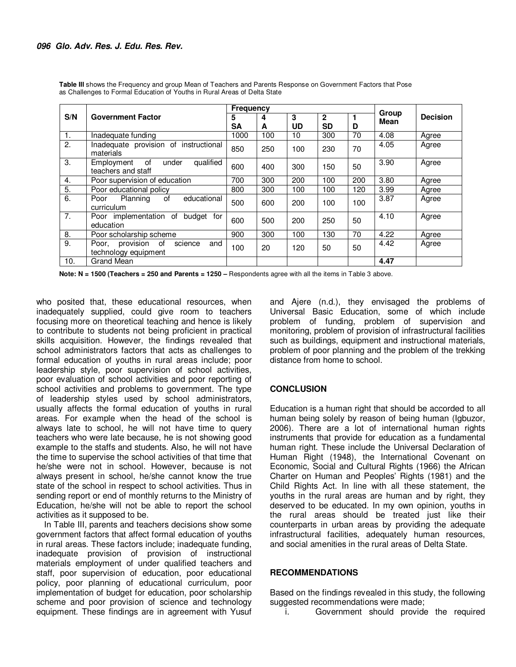|                  | <b>Government Factor</b>                                           | <b>Frequency</b> |        |         |                           |     |               |                 |
|------------------|--------------------------------------------------------------------|------------------|--------|---------|---------------------------|-----|---------------|-----------------|
| S/N              |                                                                    | 5<br><b>SA</b>   | 4<br>A | 3<br>UD | $\mathbf{2}$<br><b>SD</b> | D   | Group<br>Mean | <b>Decision</b> |
| 1.               | Inadequate funding                                                 | 1000             | 100    | 10      | 300                       | 70  | 4.08          | Agree           |
| $\overline{2}$ . | Inadequate provision of instructional<br>materials                 | 850              | 250    | 100     | 230                       | 70  | 4.05          | Agree           |
| 3.               | 0f<br>qualified<br>Employment<br>under<br>teachers and staff       | 600              | 400    | 300     | 150                       | 50  | 3.90          | Agree           |
| 4.               | Poor supervision of education                                      | 700              | 300    | 200     | 100                       | 200 | 3.80          | Agree           |
| 5.               | Poor educational policy                                            | 800              | 300    | 100     | 100                       | 120 | 3.99          | Agree           |
| 6.               | of<br>educational<br>Planning<br>Poor<br>curriculum                | 500              | 600    | 200     | 100                       | 100 | 3.87          | Agree           |
| 7.               | Poor implementation of<br>budget for<br>education                  | 600              | 500    | 200     | 250                       | 50  | 4.10          | Agree           |
| 8.               | Poor scholarship scheme                                            | 900              | 300    | 100     | 130                       | 70  | 4.22          | Agree           |
| 9.               | provision<br>science<br>of<br>Poor,<br>and<br>technology equipment | 100              | 20     | 120     | 50                        | 50  | 4.42          | Agree           |
| 10.              | <b>Grand Mean</b>                                                  |                  |        |         |                           |     | 4.47          |                 |

**Table III** shows the Frequency and group Mean of Teachers and Parents Response on Government Factors that Pose as Challenges to Formal Education of Youths in Rural Areas of Delta State

**Note: N = 1500 (Teachers = 250 and Parents = 1250 –** Respondents agree with all the items in Table 3 above.

who posited that, these educational resources, when inadequately supplied, could give room to teachers focusing more on theoretical teaching and hence is likely to contribute to students not being proficient in practical skills acquisition. However, the findings revealed that school administrators factors that acts as challenges to formal education of youths in rural areas include; poor leadership style, poor supervision of school activities, poor evaluation of school activities and poor reporting of school activities and problems to government. The type of leadership styles used by school administrators, usually affects the formal education of youths in rural areas. For example when the head of the school is always late to school, he will not have time to query teachers who were late because, he is not showing good example to the staffs and students. Also, he will not have the time to supervise the school activities of that time that he/she were not in school. However, because is not always present in school, he/she cannot know the true state of the school in respect to school activities. Thus in sending report or end of monthly returns to the Ministry of Education, he/she will not be able to report the school activities as it supposed to be.

In Table III, parents and teachers decisions show some government factors that affect formal education of youths in rural areas. These factors include; inadequate funding, inadequate provision of provision of instructional materials employment of under qualified teachers and staff, poor supervision of education, poor educational policy, poor planning of educational curriculum, poor implementation of budget for education, poor scholarship scheme and poor provision of science and technology equipment. These findings are in agreement with Yusuf

and Ajere (n.d.), they envisaged the problems of Universal Basic Education, some of which include problem of funding, problem of supervision and monitoring, problem of provision of infrastructural facilities such as buildings, equipment and instructional materials, problem of poor planning and the problem of the trekking distance from home to school.

## **CONCLUSION**

Education is a human right that should be accorded to all human being solely by reason of being human (Igbuzor, 2006). There are a lot of international human rights instruments that provide for education as a fundamental human right. These include the Universal Declaration of Human Right (1948), the International Covenant on Economic, Social and Cultural Rights (1966) the African Charter on Human and Peoples' Rights (1981) and the Child Rights Act. In line with all these statement, the youths in the rural areas are human and by right, they deserved to be educated. In my own opinion, youths in the rural areas should be treated just like their counterparts in urban areas by providing the adequate infrastructural facilities, adequately human resources, and social amenities in the rural areas of Delta State.

## **RECOMMENDATIONS**

Based on the findings revealed in this study, the following suggested recommendations were made;

i. Government should provide the required